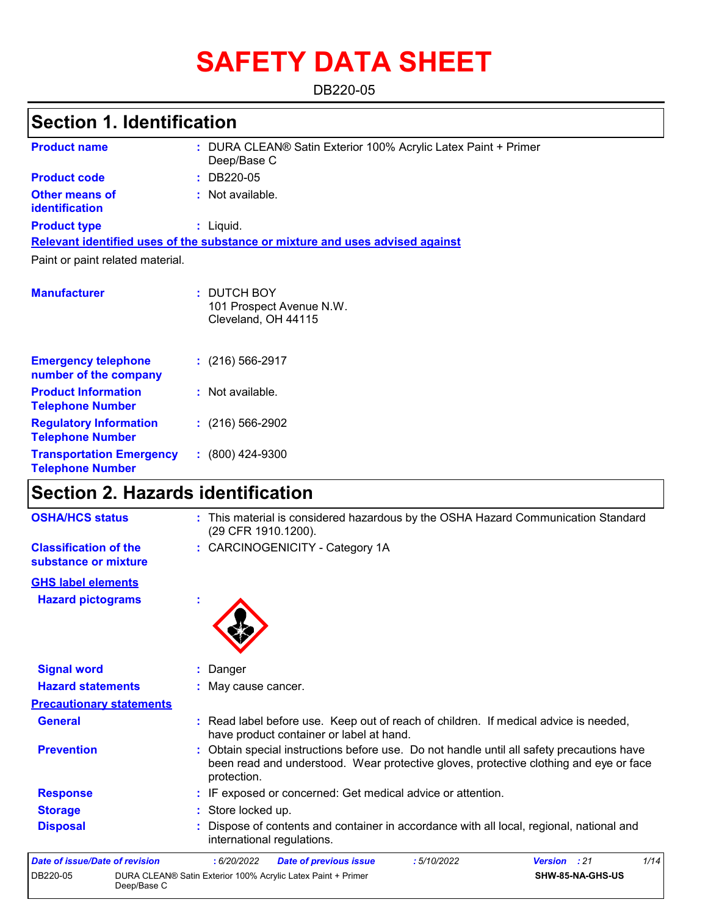# **SAFETY DATA SHEET**

DB220-05

# **Section 1. Identification**

| <b>Product name</b>                                        | : DURA CLEAN® Satin Exterior 100% Acrylic Latex Paint + Primer<br>Deep/Base C |
|------------------------------------------------------------|-------------------------------------------------------------------------------|
| <b>Product code</b>                                        | : DB220-05                                                                    |
| <b>Other means of</b><br><b>identification</b>             | : Not available.                                                              |
| <b>Product type</b>                                        | : Liquid.                                                                     |
|                                                            | Relevant identified uses of the substance or mixture and uses advised against |
| Paint or paint related material.                           |                                                                               |
|                                                            |                                                                               |
| <b>Manufacturer</b>                                        | : DUTCH BOY<br>101 Prospect Avenue N.W.<br>Cleveland, OH 44115                |
| <b>Emergency telephone</b><br>number of the company        | $(216)$ 566-2917                                                              |
| <b>Product Information</b><br><b>Telephone Number</b>      | : Not available.                                                              |
| <b>Regulatory Information</b><br><b>Telephone Number</b>   | $: (216) 566 - 2902$                                                          |
| <b>Transportation Emergency</b><br><b>Telephone Number</b> | $: (800)$ 424-9300                                                            |

# **Section 2. Hazards identification**

| <b>OSHA/HCS status</b>                               | : This material is considered hazardous by the OSHA Hazard Communication Standard<br>(29 CFR 1910.1200).                                                                                          |
|------------------------------------------------------|---------------------------------------------------------------------------------------------------------------------------------------------------------------------------------------------------|
| <b>Classification of the</b><br>substance or mixture | : CARCINOGENICITY - Category 1A                                                                                                                                                                   |
| <b>GHS label elements</b>                            |                                                                                                                                                                                                   |
| <b>Hazard pictograms</b>                             |                                                                                                                                                                                                   |
| <b>Signal word</b>                                   | Danger                                                                                                                                                                                            |
| <b>Hazard statements</b>                             | : May cause cancer.                                                                                                                                                                               |
| <b>Precautionary statements</b>                      |                                                                                                                                                                                                   |
| <b>General</b>                                       | : Read label before use. Keep out of reach of children. If medical advice is needed,<br>have product container or label at hand.                                                                  |
| <b>Prevention</b>                                    | : Obtain special instructions before use. Do not handle until all safety precautions have<br>been read and understood. Wear protective gloves, protective clothing and eye or face<br>protection. |
| <b>Response</b>                                      | : IF exposed or concerned: Get medical advice or attention.                                                                                                                                       |
| <b>Storage</b>                                       | : Store locked up.                                                                                                                                                                                |
| <b>Disposal</b>                                      | Dispose of contents and container in accordance with all local, regional, national and<br>international regulations.                                                                              |
| Date of issue/Date of revision                       | 1/14<br>: 6/20/2022<br><b>Date of previous issue</b><br>:5/10/2022<br>Version : 21                                                                                                                |
| DB220-05<br>Deep/Base C                              | DURA CLEAN® Satin Exterior 100% Acrylic Latex Paint + Primer<br>SHW-85-NA-GHS-US                                                                                                                  |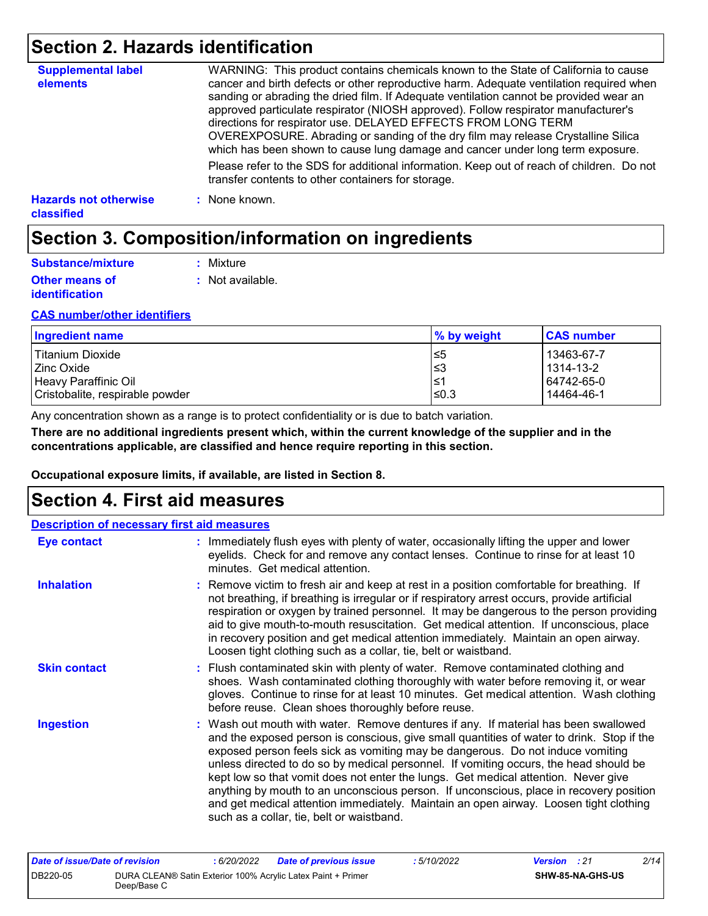## **Section 2. Hazards identification**

| <b>Supplemental label</b><br>elements      | WARNING: This product contains chemicals known to the State of California to cause<br>cancer and birth defects or other reproductive harm. Adequate ventilation required when<br>sanding or abrading the dried film. If Adequate ventilation cannot be provided wear an<br>approved particulate respirator (NIOSH approved). Follow respirator manufacturer's<br>directions for respirator use. DELAYED EFFECTS FROM LONG TERM<br>OVEREXPOSURE. Abrading or sanding of the dry film may release Crystalline Silica<br>which has been shown to cause lung damage and cancer under long term exposure. |
|--------------------------------------------|------------------------------------------------------------------------------------------------------------------------------------------------------------------------------------------------------------------------------------------------------------------------------------------------------------------------------------------------------------------------------------------------------------------------------------------------------------------------------------------------------------------------------------------------------------------------------------------------------|
|                                            | Please refer to the SDS for additional information. Keep out of reach of children. Do not<br>transfer contents to other containers for storage.                                                                                                                                                                                                                                                                                                                                                                                                                                                      |
| <b>Hazards not otherwise</b><br>classified | : None known.                                                                                                                                                                                                                                                                                                                                                                                                                                                                                                                                                                                        |

# **Section 3. Composition/information on ingredients**

| Substance/mixture                              | : Mixture        |
|------------------------------------------------|------------------|
| <b>Other means of</b><br><i>identification</i> | : Not available. |

#### **CAS number/other identifiers**

| Ingredient name                 | % by weight | <b>CAS number</b> |
|---------------------------------|-------------|-------------------|
| Titanium Dioxide                | l≤5         | 13463-67-7        |
| Zinc Oxide                      | ≤3          | 1314-13-2         |
| Heavy Paraffinic Oil            | 1≥ا         | 64742-65-0        |
| Cristobalite, respirable powder | ≤0.3        | 14464-46-1        |

Any concentration shown as a range is to protect confidentiality or is due to batch variation.

**There are no additional ingredients present which, within the current knowledge of the supplier and in the concentrations applicable, are classified and hence require reporting in this section.**

**Occupational exposure limits, if available, are listed in Section 8.**

### **Section 4. First aid measures**

| <b>Description of necessary first aid measures</b> |                                                                                                                                                                                                                                                                                                                                                                                                                                                                                                                                                                                                                                                                                   |
|----------------------------------------------------|-----------------------------------------------------------------------------------------------------------------------------------------------------------------------------------------------------------------------------------------------------------------------------------------------------------------------------------------------------------------------------------------------------------------------------------------------------------------------------------------------------------------------------------------------------------------------------------------------------------------------------------------------------------------------------------|
| <b>Eye contact</b>                                 | : Immediately flush eyes with plenty of water, occasionally lifting the upper and lower<br>eyelids. Check for and remove any contact lenses. Continue to rinse for at least 10<br>minutes. Get medical attention.                                                                                                                                                                                                                                                                                                                                                                                                                                                                 |
| <b>Inhalation</b>                                  | : Remove victim to fresh air and keep at rest in a position comfortable for breathing. If<br>not breathing, if breathing is irregular or if respiratory arrest occurs, provide artificial<br>respiration or oxygen by trained personnel. It may be dangerous to the person providing<br>aid to give mouth-to-mouth resuscitation. Get medical attention. If unconscious, place<br>in recovery position and get medical attention immediately. Maintain an open airway.<br>Loosen tight clothing such as a collar, tie, belt or waistband.                                                                                                                                         |
| <b>Skin contact</b>                                | : Flush contaminated skin with plenty of water. Remove contaminated clothing and<br>shoes. Wash contaminated clothing thoroughly with water before removing it, or wear<br>gloves. Continue to rinse for at least 10 minutes. Get medical attention. Wash clothing<br>before reuse. Clean shoes thoroughly before reuse.                                                                                                                                                                                                                                                                                                                                                          |
| <b>Ingestion</b>                                   | : Wash out mouth with water. Remove dentures if any. If material has been swallowed<br>and the exposed person is conscious, give small quantities of water to drink. Stop if the<br>exposed person feels sick as vomiting may be dangerous. Do not induce vomiting<br>unless directed to do so by medical personnel. If vomiting occurs, the head should be<br>kept low so that vomit does not enter the lungs. Get medical attention. Never give<br>anything by mouth to an unconscious person. If unconscious, place in recovery position<br>and get medical attention immediately. Maintain an open airway. Loosen tight clothing<br>such as a collar, tie, belt or waistband. |

| Date of issue/Date of revision |             | : 6/20/2022 | <b>Date of previous issue</b>                                | : 5/10/2022 | <b>Version</b> : 21 |                         | 2/14 |
|--------------------------------|-------------|-------------|--------------------------------------------------------------|-------------|---------------------|-------------------------|------|
| DB220-05                       | Deep/Base C |             | DURA CLEAN® Satin Exterior 100% Acrylic Latex Paint + Primer |             |                     | <b>SHW-85-NA-GHS-US</b> |      |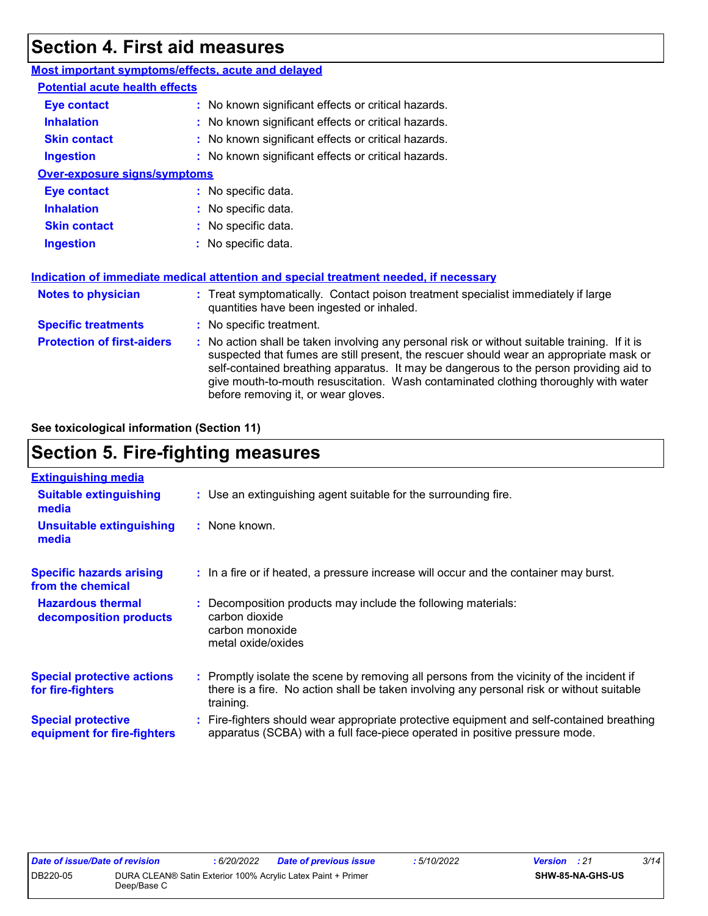## **Section 4. First aid measures**

| <b>Most important symptoms/effects, acute and delayed</b> |                                                                                                                                                                                                                                                                                                                                                                                                                 |
|-----------------------------------------------------------|-----------------------------------------------------------------------------------------------------------------------------------------------------------------------------------------------------------------------------------------------------------------------------------------------------------------------------------------------------------------------------------------------------------------|
| <b>Potential acute health effects</b>                     |                                                                                                                                                                                                                                                                                                                                                                                                                 |
| <b>Eye contact</b>                                        | : No known significant effects or critical hazards.                                                                                                                                                                                                                                                                                                                                                             |
| <b>Inhalation</b>                                         | : No known significant effects or critical hazards.                                                                                                                                                                                                                                                                                                                                                             |
| <b>Skin contact</b>                                       | : No known significant effects or critical hazards.                                                                                                                                                                                                                                                                                                                                                             |
| <b>Ingestion</b>                                          | : No known significant effects or critical hazards.                                                                                                                                                                                                                                                                                                                                                             |
| <b>Over-exposure signs/symptoms</b>                       |                                                                                                                                                                                                                                                                                                                                                                                                                 |
| <b>Eye contact</b>                                        | : No specific data.                                                                                                                                                                                                                                                                                                                                                                                             |
| <b>Inhalation</b>                                         | : No specific data.                                                                                                                                                                                                                                                                                                                                                                                             |
| <b>Skin contact</b>                                       | : No specific data.                                                                                                                                                                                                                                                                                                                                                                                             |
| <b>Ingestion</b>                                          | : No specific data.                                                                                                                                                                                                                                                                                                                                                                                             |
|                                                           | Indication of immediate medical attention and special treatment needed, if necessary                                                                                                                                                                                                                                                                                                                            |
| <b>Notes to physician</b>                                 | : Treat symptomatically. Contact poison treatment specialist immediately if large<br>quantities have been ingested or inhaled.                                                                                                                                                                                                                                                                                  |
| <b>Specific treatments</b>                                | : No specific treatment.                                                                                                                                                                                                                                                                                                                                                                                        |
| <b>Protection of first-aiders</b>                         | : No action shall be taken involving any personal risk or without suitable training. If it is<br>suspected that fumes are still present, the rescuer should wear an appropriate mask or<br>self-contained breathing apparatus. It may be dangerous to the person providing aid to<br>give mouth-to-mouth resuscitation. Wash contaminated clothing thoroughly with water<br>before removing it, or wear gloves. |

**See toxicological information (Section 11)**

# **Section 5. Fire-fighting measures**

| <b>Extinguishing media</b>                               |                                                                                                                                                                                                     |
|----------------------------------------------------------|-----------------------------------------------------------------------------------------------------------------------------------------------------------------------------------------------------|
| <b>Suitable extinguishing</b><br>media                   | : Use an extinguishing agent suitable for the surrounding fire.                                                                                                                                     |
| <b>Unsuitable extinguishing</b><br>media                 | : None known.                                                                                                                                                                                       |
| <b>Specific hazards arising</b><br>from the chemical     | : In a fire or if heated, a pressure increase will occur and the container may burst.                                                                                                               |
| <b>Hazardous thermal</b><br>decomposition products       | : Decomposition products may include the following materials:<br>carbon dioxide<br>carbon monoxide<br>metal oxide/oxides                                                                            |
| <b>Special protective actions</b><br>for fire-fighters   | : Promptly isolate the scene by removing all persons from the vicinity of the incident if<br>there is a fire. No action shall be taken involving any personal risk or without suitable<br>training. |
| <b>Special protective</b><br>equipment for fire-fighters | : Fire-fighters should wear appropriate protective equipment and self-contained breathing<br>apparatus (SCBA) with a full face-piece operated in positive pressure mode.                            |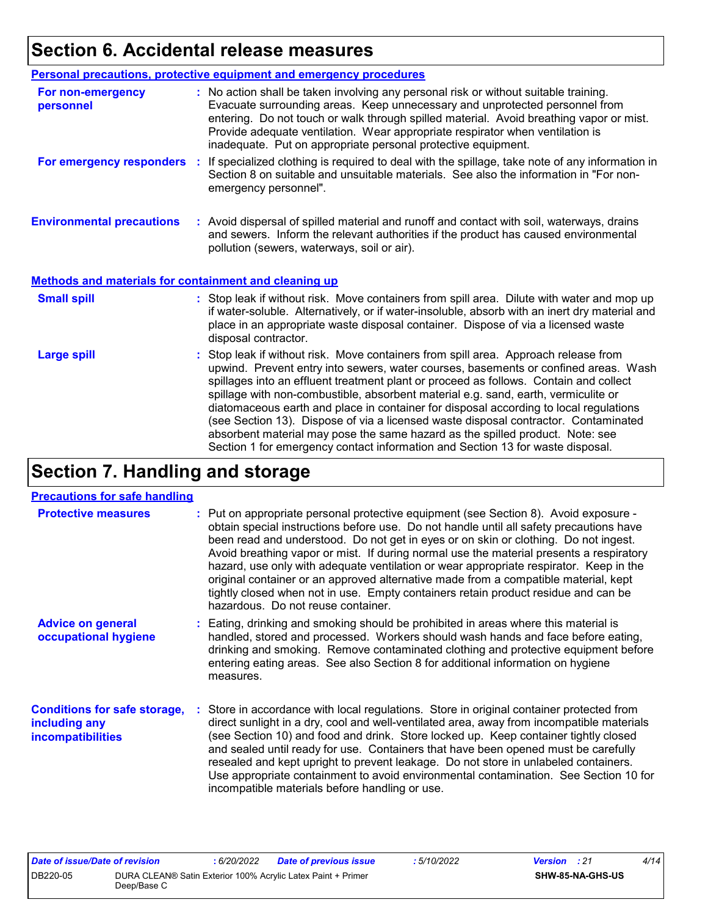# **Section 6. Accidental release measures**

|                                                              | <b>Personal precautions, protective equipment and emergency procedures</b>                                                                                                                                                                                                                                                                                                                                                                                                                                                                                                                                                                                                                                   |  |  |  |
|--------------------------------------------------------------|--------------------------------------------------------------------------------------------------------------------------------------------------------------------------------------------------------------------------------------------------------------------------------------------------------------------------------------------------------------------------------------------------------------------------------------------------------------------------------------------------------------------------------------------------------------------------------------------------------------------------------------------------------------------------------------------------------------|--|--|--|
| For non-emergency<br>personnel                               | : No action shall be taken involving any personal risk or without suitable training.<br>Evacuate surrounding areas. Keep unnecessary and unprotected personnel from<br>entering. Do not touch or walk through spilled material. Avoid breathing vapor or mist.<br>Provide adequate ventilation. Wear appropriate respirator when ventilation is<br>inadequate. Put on appropriate personal protective equipment.                                                                                                                                                                                                                                                                                             |  |  |  |
| For emergency responders                                     | : If specialized clothing is required to deal with the spillage, take note of any information in<br>Section 8 on suitable and unsuitable materials. See also the information in "For non-<br>emergency personnel".                                                                                                                                                                                                                                                                                                                                                                                                                                                                                           |  |  |  |
| <b>Environmental precautions</b>                             | : Avoid dispersal of spilled material and runoff and contact with soil, waterways, drains<br>and sewers. Inform the relevant authorities if the product has caused environmental<br>pollution (sewers, waterways, soil or air).                                                                                                                                                                                                                                                                                                                                                                                                                                                                              |  |  |  |
| <b>Methods and materials for containment and cleaning up</b> |                                                                                                                                                                                                                                                                                                                                                                                                                                                                                                                                                                                                                                                                                                              |  |  |  |
| <b>Small spill</b>                                           | : Stop leak if without risk. Move containers from spill area. Dilute with water and mop up<br>if water-soluble. Alternatively, or if water-insoluble, absorb with an inert dry material and<br>place in an appropriate waste disposal container. Dispose of via a licensed waste<br>disposal contractor.                                                                                                                                                                                                                                                                                                                                                                                                     |  |  |  |
| <b>Large spill</b>                                           | : Stop leak if without risk. Move containers from spill area. Approach release from<br>upwind. Prevent entry into sewers, water courses, basements or confined areas. Wash<br>spillages into an effluent treatment plant or proceed as follows. Contain and collect<br>spillage with non-combustible, absorbent material e.g. sand, earth, vermiculite or<br>diatomaceous earth and place in container for disposal according to local regulations<br>(see Section 13). Dispose of via a licensed waste disposal contractor. Contaminated<br>absorbent material may pose the same hazard as the spilled product. Note: see<br>Section 1 for emergency contact information and Section 13 for waste disposal. |  |  |  |

# **Section 7. Handling and storage**

#### **Precautions for safe handling**

| <b>Protective measures</b>                                                | : Put on appropriate personal protective equipment (see Section 8). Avoid exposure -<br>obtain special instructions before use. Do not handle until all safety precautions have<br>been read and understood. Do not get in eyes or on skin or clothing. Do not ingest.<br>Avoid breathing vapor or mist. If during normal use the material presents a respiratory<br>hazard, use only with adequate ventilation or wear appropriate respirator. Keep in the<br>original container or an approved alternative made from a compatible material, kept<br>tightly closed when not in use. Empty containers retain product residue and can be<br>hazardous. Do not reuse container. |
|---------------------------------------------------------------------------|--------------------------------------------------------------------------------------------------------------------------------------------------------------------------------------------------------------------------------------------------------------------------------------------------------------------------------------------------------------------------------------------------------------------------------------------------------------------------------------------------------------------------------------------------------------------------------------------------------------------------------------------------------------------------------|
| <b>Advice on general</b><br>occupational hygiene                          | : Eating, drinking and smoking should be prohibited in areas where this material is<br>handled, stored and processed. Workers should wash hands and face before eating,<br>drinking and smoking. Remove contaminated clothing and protective equipment before<br>entering eating areas. See also Section 8 for additional information on hygiene<br>measures.                                                                                                                                                                                                                                                                                                                  |
| <b>Conditions for safe storage,</b><br>including any<br>incompatibilities | : Store in accordance with local regulations. Store in original container protected from<br>direct sunlight in a dry, cool and well-ventilated area, away from incompatible materials<br>(see Section 10) and food and drink. Store locked up. Keep container tightly closed<br>and sealed until ready for use. Containers that have been opened must be carefully<br>resealed and kept upright to prevent leakage. Do not store in unlabeled containers.<br>Use appropriate containment to avoid environmental contamination. See Section 10 for<br>incompatible materials before handling or use.                                                                            |

| Date of issue/Date of revision |             | : 6/20/2022 | <b>Date of previous issue</b>                                | : 5/10/2022 | <b>Version</b> : 21 |                         | 4/14 |
|--------------------------------|-------------|-------------|--------------------------------------------------------------|-------------|---------------------|-------------------------|------|
| DB220-05                       | Deep/Base C |             | DURA CLEAN® Satin Exterior 100% Acrylic Latex Paint + Primer |             |                     | <b>SHW-85-NA-GHS-US</b> |      |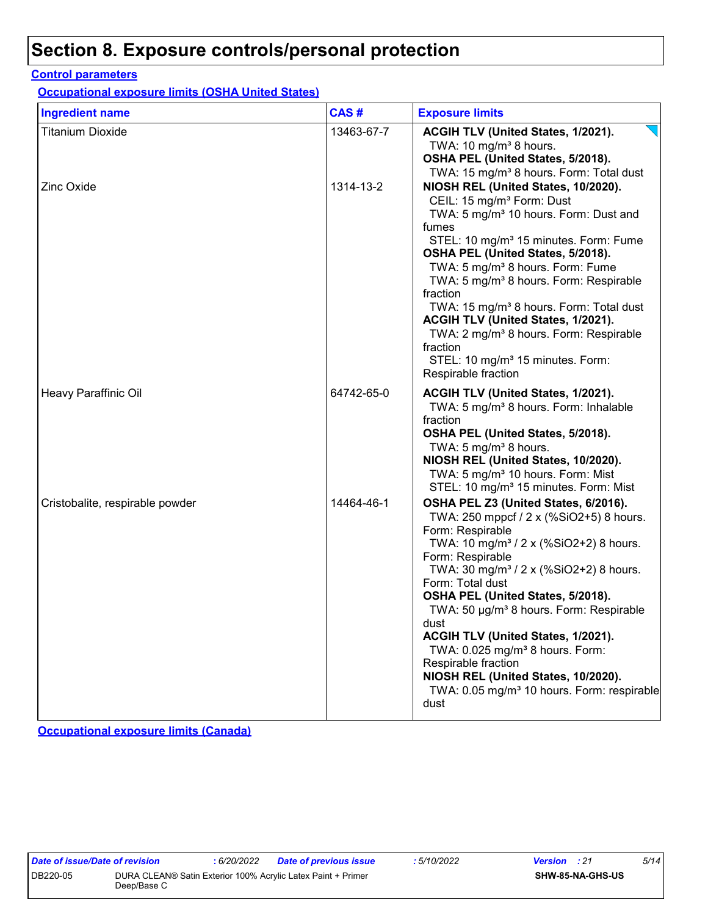# **Section 8. Exposure controls/personal protection**

#### **Control parameters**

**Occupational exposure limits (OSHA United States)**

| <b>Ingredient name</b>          | CAS#       | <b>Exposure limits</b>                                                                                                                                                                                                                                                                                                                                                                                                                                                                                                                                                                       |
|---------------------------------|------------|----------------------------------------------------------------------------------------------------------------------------------------------------------------------------------------------------------------------------------------------------------------------------------------------------------------------------------------------------------------------------------------------------------------------------------------------------------------------------------------------------------------------------------------------------------------------------------------------|
| <b>Titanium Dioxide</b>         | 13463-67-7 | ACGIH TLV (United States, 1/2021).<br>TWA: 10 mg/m <sup>3</sup> 8 hours.<br>OSHA PEL (United States, 5/2018).<br>TWA: 15 mg/m <sup>3</sup> 8 hours. Form: Total dust                                                                                                                                                                                                                                                                                                                                                                                                                         |
| <b>Zinc Oxide</b>               | 1314-13-2  | NIOSH REL (United States, 10/2020).<br>CEIL: 15 mg/m <sup>3</sup> Form: Dust<br>TWA: 5 mg/m <sup>3</sup> 10 hours. Form: Dust and<br>fumes<br>STEL: 10 mg/m <sup>3</sup> 15 minutes. Form: Fume<br>OSHA PEL (United States, 5/2018).<br>TWA: 5 mg/m <sup>3</sup> 8 hours. Form: Fume<br>TWA: 5 mg/m <sup>3</sup> 8 hours. Form: Respirable<br>fraction<br>TWA: 15 mg/m <sup>3</sup> 8 hours. Form: Total dust<br>ACGIH TLV (United States, 1/2021).<br>TWA: 2 mg/m <sup>3</sup> 8 hours. Form: Respirable<br>fraction<br>STEL: 10 mg/m <sup>3</sup> 15 minutes. Form:<br>Respirable fraction |
| Heavy Paraffinic Oil            | 64742-65-0 | ACGIH TLV (United States, 1/2021).<br>TWA: 5 mg/m <sup>3</sup> 8 hours. Form: Inhalable<br>fraction<br>OSHA PEL (United States, 5/2018).<br>TWA: 5 mg/m <sup>3</sup> 8 hours.<br>NIOSH REL (United States, 10/2020).<br>TWA: 5 mg/m <sup>3</sup> 10 hours. Form: Mist<br>STEL: 10 mg/m <sup>3</sup> 15 minutes. Form: Mist                                                                                                                                                                                                                                                                   |
| Cristobalite, respirable powder | 14464-46-1 | OSHA PEL Z3 (United States, 6/2016).<br>TWA: 250 mppcf / 2 x (%SiO2+5) 8 hours.<br>Form: Respirable<br>TWA: 10 mg/m <sup>3</sup> / 2 x (%SiO2+2) 8 hours.<br>Form: Respirable<br>TWA: 30 mg/m <sup>3</sup> / 2 x (%SiO2+2) 8 hours.<br>Form: Total dust<br>OSHA PEL (United States, 5/2018).<br>TWA: 50 µg/m <sup>3</sup> 8 hours. Form: Respirable<br>dust<br>ACGIH TLV (United States, 1/2021).<br>TWA: 0.025 mg/m <sup>3</sup> 8 hours. Form:<br>Respirable fraction<br>NIOSH REL (United States, 10/2020).<br>TWA: 0.05 mg/m <sup>3</sup> 10 hours. Form: respirable<br>dust             |

**Occupational exposure limits (Canada)**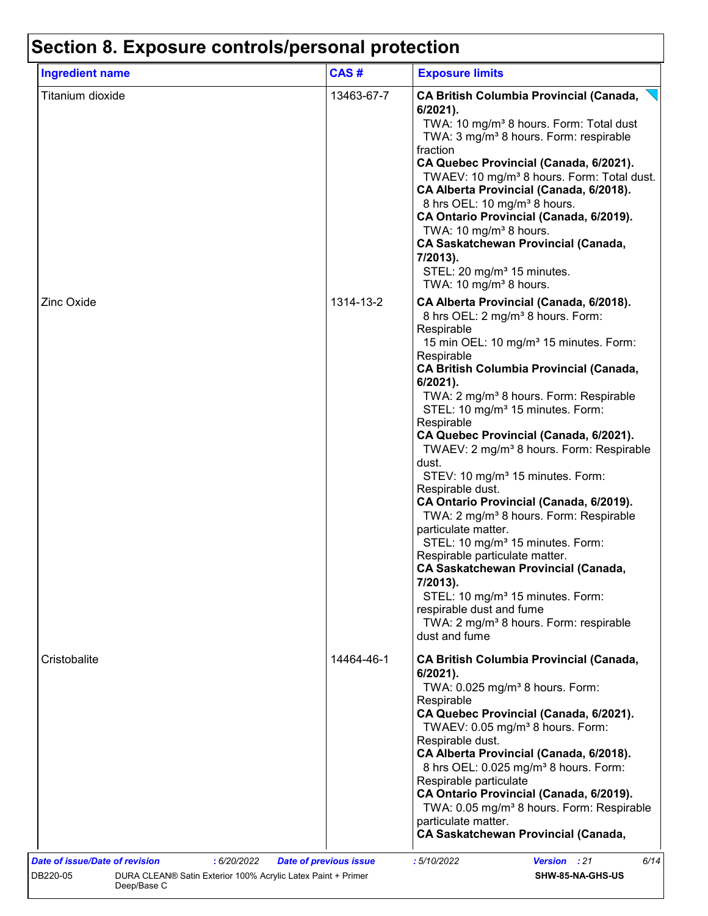# **Section 8. Exposure controls/personal protection**

| <b>Ingredient name</b> | CAS#       | <b>Exposure limits</b>                                                                                                                                                                                                                                                                                                                                                                                                                                                                                                                                                                                                                                                                                                                                                                                                                                                                                                                                             |
|------------------------|------------|--------------------------------------------------------------------------------------------------------------------------------------------------------------------------------------------------------------------------------------------------------------------------------------------------------------------------------------------------------------------------------------------------------------------------------------------------------------------------------------------------------------------------------------------------------------------------------------------------------------------------------------------------------------------------------------------------------------------------------------------------------------------------------------------------------------------------------------------------------------------------------------------------------------------------------------------------------------------|
| Titanium dioxide       | 13463-67-7 | <b>CA British Columbia Provincial (Canada,</b><br>$6/2021$ ).<br>TWA: 10 mg/m <sup>3</sup> 8 hours. Form: Total dust<br>TWA: 3 mg/m <sup>3</sup> 8 hours. Form: respirable<br>fraction<br>CA Quebec Provincial (Canada, 6/2021).<br>TWAEV: 10 mg/m <sup>3</sup> 8 hours. Form: Total dust.<br>CA Alberta Provincial (Canada, 6/2018).<br>8 hrs OEL: 10 mg/m <sup>3</sup> 8 hours.<br>CA Ontario Provincial (Canada, 6/2019).<br>TWA: 10 mg/m <sup>3</sup> 8 hours.<br><b>CA Saskatchewan Provincial (Canada,</b><br>7/2013).<br>STEL: 20 mg/m <sup>3</sup> 15 minutes.<br>TWA: 10 mg/m <sup>3</sup> 8 hours.                                                                                                                                                                                                                                                                                                                                                       |
| <b>Zinc Oxide</b>      | 1314-13-2  | CA Alberta Provincial (Canada, 6/2018).<br>8 hrs OEL: 2 mg/m <sup>3</sup> 8 hours. Form:<br>Respirable<br>15 min OEL: 10 mg/m <sup>3</sup> 15 minutes. Form:<br>Respirable<br><b>CA British Columbia Provincial (Canada,</b><br>6/2021).<br>TWA: 2 mg/m <sup>3</sup> 8 hours. Form: Respirable<br>STEL: 10 mg/m <sup>3</sup> 15 minutes. Form:<br>Respirable<br>CA Quebec Provincial (Canada, 6/2021).<br>TWAEV: 2 mg/m <sup>3</sup> 8 hours. Form: Respirable<br>dust.<br>STEV: 10 mg/m <sup>3</sup> 15 minutes. Form:<br>Respirable dust.<br>CA Ontario Provincial (Canada, 6/2019).<br>TWA: 2 mg/m <sup>3</sup> 8 hours. Form: Respirable<br>particulate matter.<br>STEL: 10 mg/m <sup>3</sup> 15 minutes. Form:<br>Respirable particulate matter.<br><b>CA Saskatchewan Provincial (Canada,</b><br>7/2013).<br>STEL: 10 mg/m <sup>3</sup> 15 minutes. Form:<br>respirable dust and fume<br>TWA: 2 mg/m <sup>3</sup> 8 hours. Form: respirable<br>dust and fume |
| Cristobalite           | 14464-46-1 | <b>CA British Columbia Provincial (Canada,</b><br>$6/2021$ ).<br>TWA: 0.025 mg/m <sup>3</sup> 8 hours. Form:<br>Respirable<br>CA Quebec Provincial (Canada, 6/2021).<br>TWAEV: 0.05 mg/m <sup>3</sup> 8 hours. Form:<br>Respirable dust.<br>CA Alberta Provincial (Canada, 6/2018).<br>8 hrs OEL: 0.025 mg/m <sup>3</sup> 8 hours. Form:<br>Respirable particulate<br>CA Ontario Provincial (Canada, 6/2019).<br>TWA: 0.05 mg/m <sup>3</sup> 8 hours. Form: Respirable<br>particulate matter.<br><b>CA Saskatchewan Provincial (Canada,</b>                                                                                                                                                                                                                                                                                                                                                                                                                        |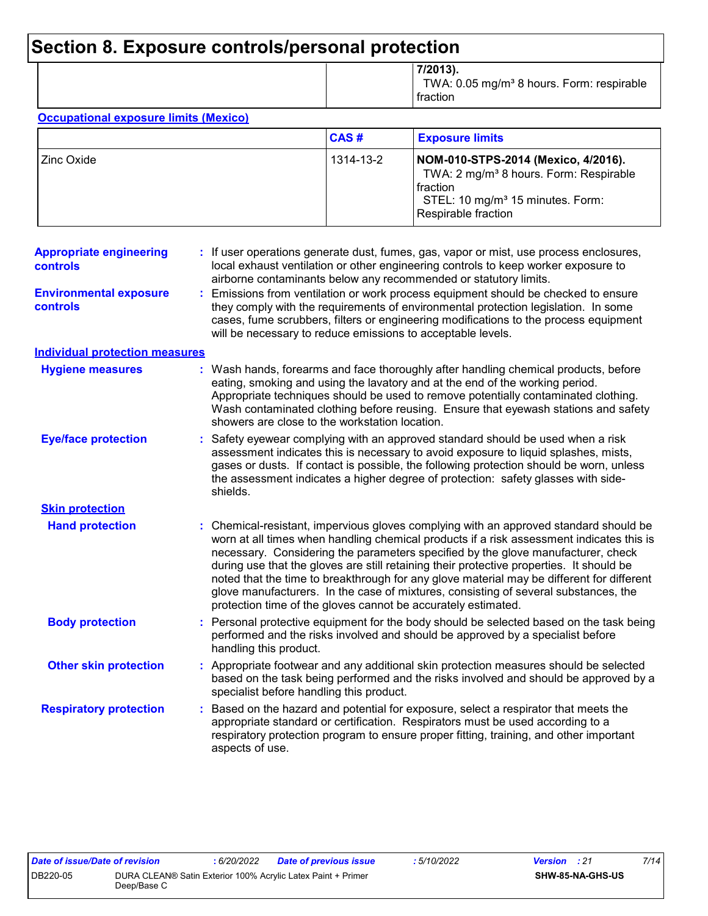# **Section 8. Exposure controls/personal protection**

|  | 7/2013).<br>TWA: 0.05 mg/m <sup>3</sup> 8 hours. Form: respirable<br>fraction |
|--|-------------------------------------------------------------------------------|
|--|-------------------------------------------------------------------------------|

#### **Occupational exposure limits (Mexico)**

|             | CAS#      | <b>Exposure limits</b>                                                                                                                                                         |
|-------------|-----------|--------------------------------------------------------------------------------------------------------------------------------------------------------------------------------|
| 'Zinc Oxide | 1314-13-2 | NOM-010-STPS-2014 (Mexico, 4/2016).<br>TWA: 2 mg/m <sup>3</sup> 8 hours. Form: Respirable<br>l fraction<br>STEL: 10 mg/m <sup>3</sup> 15 minutes. Form:<br>Respirable fraction |

| <b>Appropriate engineering</b><br>controls       | If user operations generate dust, fumes, gas, vapor or mist, use process enclosures,<br>local exhaust ventilation or other engineering controls to keep worker exposure to<br>airborne contaminants below any recommended or statutory limits.                                                                                                                                                                                                                                                                                                                                                                         |  |
|--------------------------------------------------|------------------------------------------------------------------------------------------------------------------------------------------------------------------------------------------------------------------------------------------------------------------------------------------------------------------------------------------------------------------------------------------------------------------------------------------------------------------------------------------------------------------------------------------------------------------------------------------------------------------------|--|
| <b>Environmental exposure</b><br><b>controls</b> | Emissions from ventilation or work process equipment should be checked to ensure<br>÷.<br>they comply with the requirements of environmental protection legislation. In some<br>cases, fume scrubbers, filters or engineering modifications to the process equipment<br>will be necessary to reduce emissions to acceptable levels.                                                                                                                                                                                                                                                                                    |  |
| <b>Individual protection measures</b>            |                                                                                                                                                                                                                                                                                                                                                                                                                                                                                                                                                                                                                        |  |
| <b>Hygiene measures</b>                          | : Wash hands, forearms and face thoroughly after handling chemical products, before<br>eating, smoking and using the lavatory and at the end of the working period.<br>Appropriate techniques should be used to remove potentially contaminated clothing.<br>Wash contaminated clothing before reusing. Ensure that eyewash stations and safety<br>showers are close to the workstation location.                                                                                                                                                                                                                      |  |
| <b>Eye/face protection</b>                       | Safety eyewear complying with an approved standard should be used when a risk<br>t.<br>assessment indicates this is necessary to avoid exposure to liquid splashes, mists,<br>gases or dusts. If contact is possible, the following protection should be worn, unless<br>the assessment indicates a higher degree of protection: safety glasses with side-<br>shields.                                                                                                                                                                                                                                                 |  |
| <b>Skin protection</b>                           |                                                                                                                                                                                                                                                                                                                                                                                                                                                                                                                                                                                                                        |  |
| <b>Hand protection</b>                           | : Chemical-resistant, impervious gloves complying with an approved standard should be<br>worn at all times when handling chemical products if a risk assessment indicates this is<br>necessary. Considering the parameters specified by the glove manufacturer, check<br>during use that the gloves are still retaining their protective properties. It should be<br>noted that the time to breakthrough for any glove material may be different for different<br>glove manufacturers. In the case of mixtures, consisting of several substances, the<br>protection time of the gloves cannot be accurately estimated. |  |
| <b>Body protection</b>                           | Personal protective equipment for the body should be selected based on the task being<br>performed and the risks involved and should be approved by a specialist before<br>handling this product.                                                                                                                                                                                                                                                                                                                                                                                                                      |  |
| <b>Other skin protection</b>                     | Appropriate footwear and any additional skin protection measures should be selected<br>based on the task being performed and the risks involved and should be approved by a<br>specialist before handling this product.                                                                                                                                                                                                                                                                                                                                                                                                |  |
| <b>Respiratory protection</b>                    | Based on the hazard and potential for exposure, select a respirator that meets the<br>appropriate standard or certification. Respirators must be used according to a<br>respiratory protection program to ensure proper fitting, training, and other important<br>aspects of use.                                                                                                                                                                                                                                                                                                                                      |  |
|                                                  |                                                                                                                                                                                                                                                                                                                                                                                                                                                                                                                                                                                                                        |  |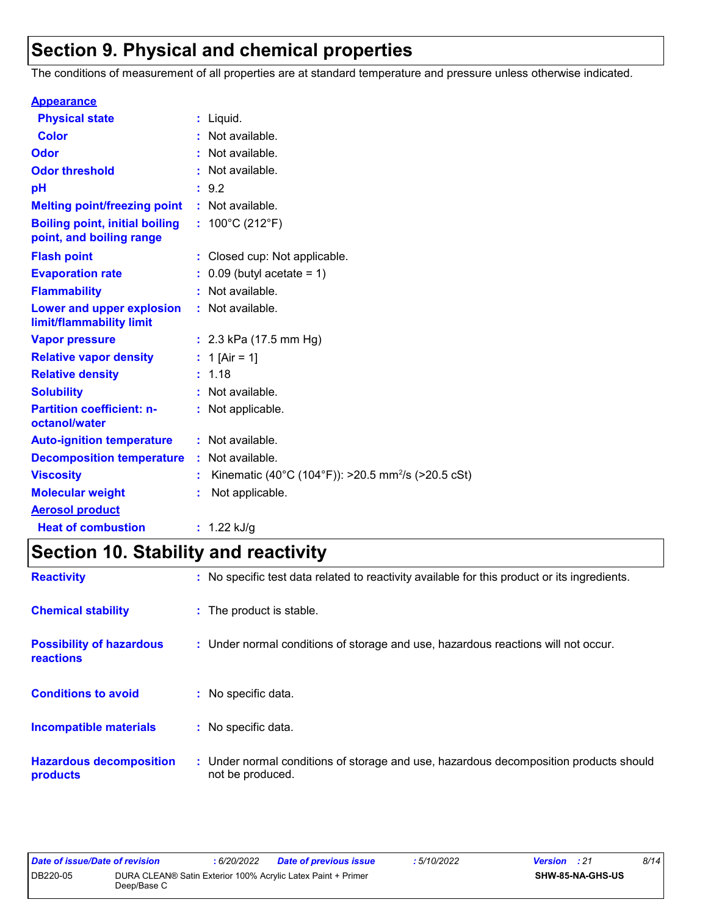# **Section 9. Physical and chemical properties**

The conditions of measurement of all properties are at standard temperature and pressure unless otherwise indicated.

| <b>Appearance</b>                                                 |                                                                |
|-------------------------------------------------------------------|----------------------------------------------------------------|
| <b>Physical state</b>                                             | $:$ Liquid.                                                    |
| <b>Color</b>                                                      | : Not available.                                               |
| Odor                                                              | : Not available.                                               |
| <b>Odor threshold</b>                                             | : Not available.                                               |
| рH                                                                | : 9.2                                                          |
| <b>Melting point/freezing point</b>                               | : Not available.                                               |
| <b>Boiling point, initial boiling</b><br>point, and boiling range | : $100^{\circ}$ C (212 $^{\circ}$ F)                           |
| <b>Flash point</b>                                                | : Closed cup: Not applicable.                                  |
| <b>Evaporation rate</b>                                           | $0.09$ (butyl acetate = 1)                                     |
| <b>Flammability</b>                                               | : Not available.                                               |
| Lower and upper explosion<br>limit/flammability limit             | : Not available.                                               |
| <b>Vapor pressure</b>                                             | : $2.3$ kPa (17.5 mm Hg)                                       |
| <b>Relative vapor density</b>                                     | : 1 [Air = 1]                                                  |
| <b>Relative density</b>                                           | : 1.18                                                         |
| <b>Solubility</b>                                                 | : Not available.                                               |
| <b>Partition coefficient: n-</b><br>octanol/water                 | : Not applicable.                                              |
| <b>Auto-ignition temperature</b>                                  | : Not available.                                               |
| <b>Decomposition temperature</b>                                  | : Not available.                                               |
| <b>Viscosity</b>                                                  | Kinematic (40°C (104°F)): >20.5 mm <sup>2</sup> /s (>20.5 cSt) |
| <b>Molecular weight</b>                                           | Not applicable.                                                |
| <b>Aerosol product</b>                                            |                                                                |
| <b>Heat of combustion</b>                                         | : $1.22$ kJ/g                                                  |

# **Section 10. Stability and reactivity**

| <b>Reactivity</b>                            | : No specific test data related to reactivity available for this product or its ingredients.              |
|----------------------------------------------|-----------------------------------------------------------------------------------------------------------|
| <b>Chemical stability</b>                    | : The product is stable.                                                                                  |
| <b>Possibility of hazardous</b><br>reactions | : Under normal conditions of storage and use, hazardous reactions will not occur.                         |
| <b>Conditions to avoid</b>                   | : No specific data.                                                                                       |
| <b>Incompatible materials</b>                | : No specific data.                                                                                       |
| <b>Hazardous decomposition</b><br>products   | : Under normal conditions of storage and use, hazardous decomposition products should<br>not be produced. |

| Date of issue/Date of revision |             | : 6/20/2022 | Date of previous issue                                       | : 5/10/2022 | <b>Version</b> : 21     | 8/14 |
|--------------------------------|-------------|-------------|--------------------------------------------------------------|-------------|-------------------------|------|
| DB220-05                       | Deep/Base C |             | DURA CLEAN® Satin Exterior 100% Acrylic Latex Paint + Primer |             | <b>SHW-85-NA-GHS-US</b> |      |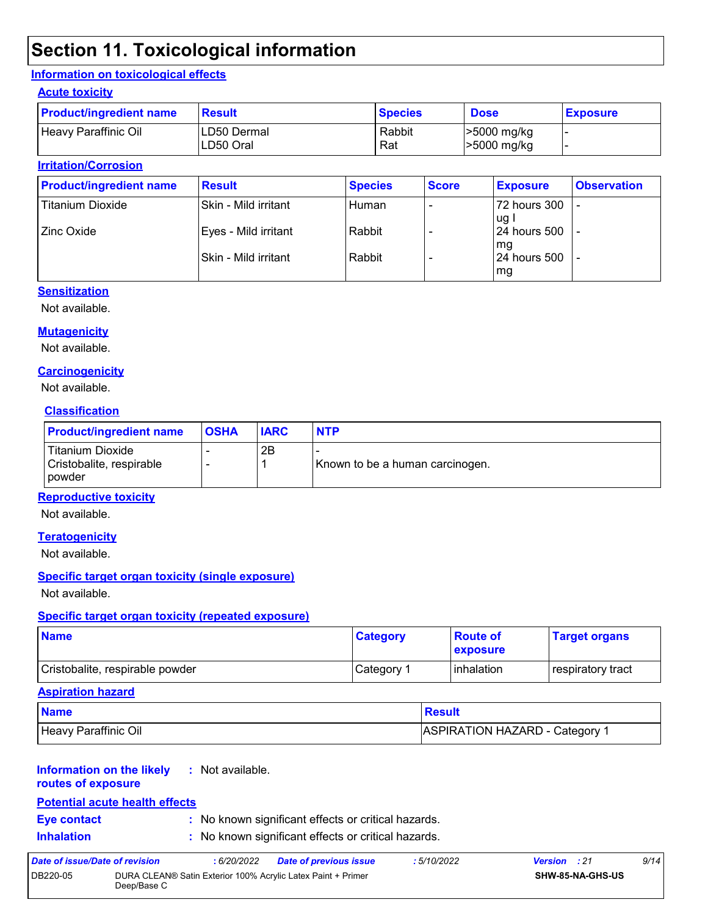# **Section 11. Toxicological information**

#### **Information on toxicological effects**

#### **Acute toxicity**

| <b>Product/ingredient name</b> | <b>Result</b>            | <b>Species</b> | <b>Dose</b>                | <b>Exposure</b> |
|--------------------------------|--------------------------|----------------|----------------------------|-----------------|
| Heavy Paraffinic Oil           | LD50 Dermal<br>LD50 Oral | Rabbit<br>Rat  | >5000 mg/kg<br>>5000 mg/kg |                 |

#### **Irritation/Corrosion**

| <b>Product/ingredient name</b> | <b>Result</b>         | <b>Species</b> | <b>Score</b> | <b>Exposure</b>               | <b>Observation</b> |
|--------------------------------|-----------------------|----------------|--------------|-------------------------------|--------------------|
| <b>Titanium Dioxide</b>        | Skin - Mild irritant  | Human          |              | 72 hours 300<br>ug l          | -                  |
| Zinc Oxide                     | Eyes - Mild irritant  | Rabbit         |              | l 24 hours 500                |                    |
|                                | lSkin - Mild irritant | Rabbit         |              | l mg<br>124 hours 500<br>  mg |                    |

#### **Sensitization**

Not available.

#### **Mutagenicity**

Not available.

#### **Carcinogenicity**

Not available.

#### **Classification**

| <b>Product/ingredient name</b>                         | <b>OSHA</b> | <b>IARC</b> | <b>NTP</b>                      |
|--------------------------------------------------------|-------------|-------------|---------------------------------|
| Titanium Dioxide<br>Cristobalite, respirable<br>powder |             | 2Β          | Known to be a human carcinogen. |

#### **Reproductive toxicity**

Not available.

#### **Teratogenicity**

Not available.

#### **Specific target organ toxicity (single exposure)**

Not available.

#### **Specific target organ toxicity (repeated exposure)**

| <b>Name</b>                     | <b>Category</b> | <b>Route of</b><br><b>Lexposure</b> | <b>Target organs</b> |
|---------------------------------|-----------------|-------------------------------------|----------------------|
| Cristobalite, respirable powder | Category 1      | <b>l</b> inhalation                 | respiratory tract    |

#### **Aspiration hazard**

| <b>Name</b>          | <b>Result</b>                |
|----------------------|------------------------------|
| Heavy Paraffinic Oil | ASPIRATION HAZARD - Category |

#### **Information on the likely :** Not available.

**routes of exposure**

#### **Potential acute health effects**

- 
- **Eye contact :** No known significant effects or critical hazards.
- **Inhalation :** No known significant effects or critical hazards.

| Date of issue/Date of revision |             | : 6/20/2022 | <b>Date of previous issue</b>                                | : 5/10/2022 | <b>Version</b> : 21     | 9/14 |
|--------------------------------|-------------|-------------|--------------------------------------------------------------|-------------|-------------------------|------|
| DB220-05                       | Deep/Base C |             | DURA CLEAN® Satin Exterior 100% Acrylic Latex Paint + Primer |             | <b>SHW-85-NA-GHS-US</b> |      |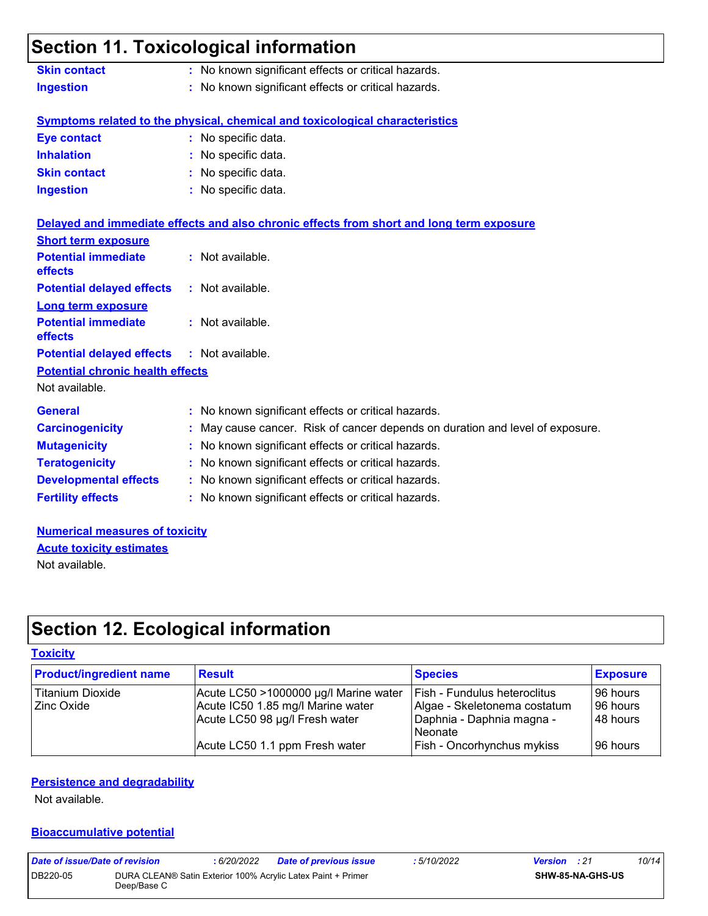### **Section 11. Toxicological information Skin contact :** No known significant effects or critical hazards.

| <b>UNIII GUIRQUE</b> | . TVO NTIOWIT SIGHTICALITY CHECKS OF CHILCAL HAZARUS. |
|----------------------|-------------------------------------------------------|
| <b>Ingestion</b>     | : No known significant effects or critical hazards.   |

### **Symptoms related to the physical, chemical and toxicological characteristics**

| <b>Eye contact</b>  | : No specific data. |
|---------------------|---------------------|
| <b>Inhalation</b>   | : No specific data. |
| <b>Skin contact</b> | : No specific data. |
| <b>Ingestion</b>    | : No specific data. |

|                                                   | Delayed and immediate effects and also chronic effects from short and long term exposure |
|---------------------------------------------------|------------------------------------------------------------------------------------------|
| <b>Short term exposure</b>                        |                                                                                          |
| <b>Potential immediate</b><br><b>effects</b>      | $:$ Not available.                                                                       |
| <b>Potential delayed effects : Not available.</b> |                                                                                          |
| Long term exposure                                |                                                                                          |
| <b>Potential immediate</b><br><b>effects</b>      | $:$ Not available.                                                                       |
| <b>Potential delayed effects : Not available.</b> |                                                                                          |
| <b>Potential chronic health effects</b>           |                                                                                          |
| Not available.                                    |                                                                                          |
| <b>General</b>                                    | : No known significant effects or critical hazards.                                      |
| <b>Carcinogenicity</b>                            | : May cause cancer. Risk of cancer depends on duration and level of exposure.            |
| <b>Mutagenicity</b>                               | : No known significant effects or critical hazards.                                      |
| <b>Teratogenicity</b>                             | : No known significant effects or critical hazards.                                      |
| <b>Developmental effects</b>                      | : No known significant effects or critical hazards.                                      |
| <b>Fertility effects</b>                          | : No known significant effects or critical hazards.                                      |

#### **Numerical measures of toxicity** Not available. **Acute toxicity estimates**

# **Section 12. Ecological information**

#### **Toxicity**

| <b>Product/ingredient name</b> | <b>Result</b>                         | <b>Species</b>                    | <b>Exposure</b> |
|--------------------------------|---------------------------------------|-----------------------------------|-----------------|
| Titanium Dioxide               | Acute LC50 >1000000 µg/l Marine water | Fish - Fundulus heteroclitus      | 196 hours       |
| <b>Zinc Oxide</b>              | Acute IC50 1.85 mg/l Marine water     | Algae - Skeletonema costatum      | 196 hours       |
|                                | Acute LC50 98 µg/l Fresh water        | Daphnia - Daphnia magna -         | 48 hours        |
|                                |                                       | Neonate                           |                 |
|                                | Acute LC50 1.1 ppm Fresh water        | <b>Fish - Oncorhynchus mykiss</b> | 196 hours       |

#### **Persistence and degradability**

Not available.

#### **Bioaccumulative potential**

| Date of issue/Date of revision |             | : 6/20/2022 | <b>Date of previous issue</b>                                | : 5/10/2022 | <b>Version</b> : 21 |                         | 10/14 |
|--------------------------------|-------------|-------------|--------------------------------------------------------------|-------------|---------------------|-------------------------|-------|
| DB220-05                       | Deep/Base C |             | DURA CLEAN® Satin Exterior 100% Acrylic Latex Paint + Primer |             |                     | <b>SHW-85-NA-GHS-US</b> |       |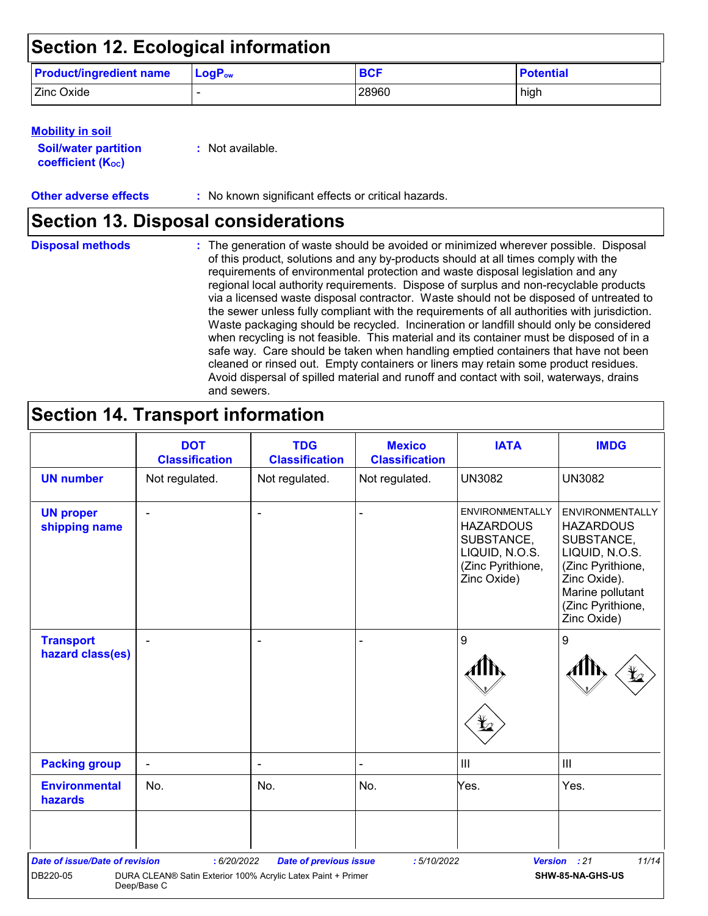# **Section 12. Ecological information**

| <b>Product/ingredient name</b> | $\blacksquare$ LogP <sub>ow</sub> | <b>BCF</b> | <b>Potential</b> |
|--------------------------------|-----------------------------------|------------|------------------|
| Zinc Oxide                     |                                   | 28960      | high             |

#### **Mobility in soil**

| <b>Soil/water partition</b> |  |
|-----------------------------|--|
| <b>coefficient (Koc)</b>    |  |

**:** Not available.

**Other adverse effects** : No known significant effects or critical hazards.

### **Section 13. Disposal considerations**

The generation of waste should be avoided or minimized wherever possible. Disposal of this product, solutions and any by-products should at all times comply with the requirements of environmental protection and waste disposal legislation and any regional local authority requirements. Dispose of surplus and non-recyclable products via a licensed waste disposal contractor. Waste should not be disposed of untreated to the sewer unless fully compliant with the requirements of all authorities with jurisdiction. Waste packaging should be recycled. Incineration or landfill should only be considered when recycling is not feasible. This material and its container must be disposed of in a safe way. Care should be taken when handling emptied containers that have not been cleaned or rinsed out. Empty containers or liners may retain some product residues. Avoid dispersal of spilled material and runoff and contact with soil, waterways, drains and sewers. **Disposal methods :**

# **Section 14. Transport information**

|                                                   | <b>DOT</b><br><b>Classification</b>                                                        | <b>TDG</b><br><b>Classification</b> | <b>Mexico</b><br><b>Classification</b> | <b>IATA</b>                                                                                                    | <b>IMDG</b>                                                                                                                                                             |
|---------------------------------------------------|--------------------------------------------------------------------------------------------|-------------------------------------|----------------------------------------|----------------------------------------------------------------------------------------------------------------|-------------------------------------------------------------------------------------------------------------------------------------------------------------------------|
| <b>UN number</b>                                  | Not regulated.                                                                             | Not regulated.                      | Not regulated.                         | <b>UN3082</b>                                                                                                  | <b>UN3082</b>                                                                                                                                                           |
| <b>UN proper</b><br>shipping name                 |                                                                                            | $\sim$                              |                                        | <b>ENVIRONMENTALLY</b><br><b>HAZARDOUS</b><br>SUBSTANCE,<br>LIQUID, N.O.S.<br>(Zinc Pyrithione,<br>Zinc Oxide) | <b>ENVIRONMENTALLY</b><br><b>HAZARDOUS</b><br>SUBSTANCE,<br>LIQUID, N.O.S.<br>(Zinc Pyrithione,<br>Zinc Oxide).<br>Marine pollutant<br>(Zinc Pyrithione,<br>Zinc Oxide) |
| <b>Transport</b><br>hazard class(es)              |                                                                                            | ٠                                   |                                        | 9                                                                                                              | 9                                                                                                                                                                       |
| <b>Packing group</b>                              | $\blacksquare$                                                                             | $\blacksquare$                      |                                        | $\mathbf{III}$                                                                                                 | III                                                                                                                                                                     |
| <b>Environmental</b><br>hazards                   | No.                                                                                        | No.                                 | No.                                    | Yes.                                                                                                           | Yes.                                                                                                                                                                    |
|                                                   |                                                                                            |                                     |                                        |                                                                                                                |                                                                                                                                                                         |
| <b>Date of issue/Date of revision</b><br>DB220-05 | : 6/20/2022<br>DURA CLEAN® Satin Exterior 100% Acrylic Latex Paint + Primer<br>Deep/Base C | <b>Date of previous issue</b>       | :5/10/2022                             |                                                                                                                | 11/14<br>Version : 21<br>SHW-85-NA-GHS-US                                                                                                                               |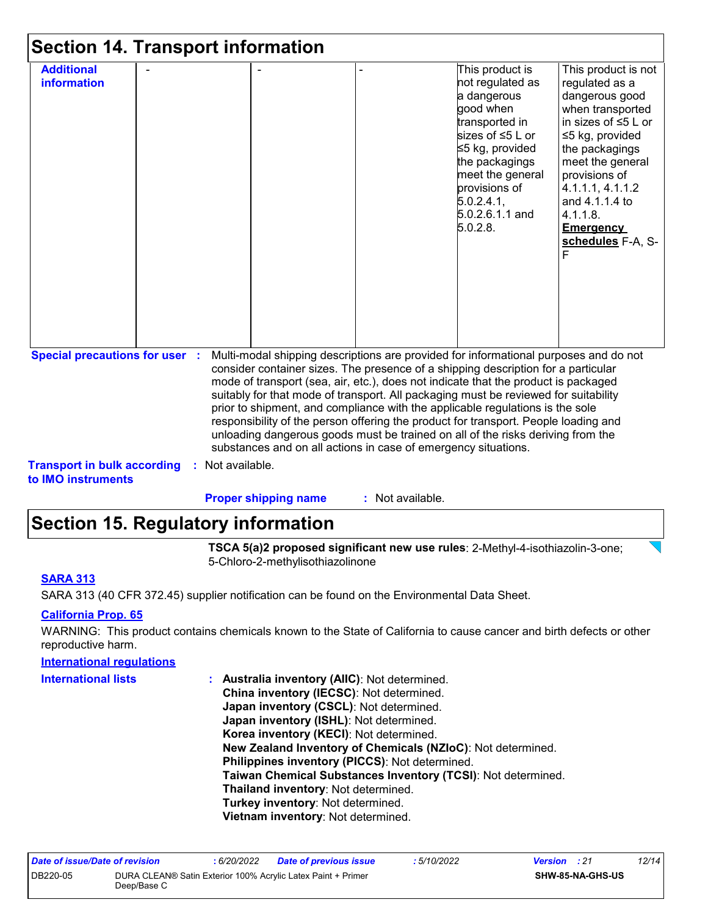| <b>Section 14. Transport information</b>                                    |                  |                                                                                                                                                                                                                                                                                                                                                                                                                                                                                                                                                                                                                                                                                     |                  |                                                                                                                                                                                                                             |                                                                                                                                                                                                                                                                                        |
|-----------------------------------------------------------------------------|------------------|-------------------------------------------------------------------------------------------------------------------------------------------------------------------------------------------------------------------------------------------------------------------------------------------------------------------------------------------------------------------------------------------------------------------------------------------------------------------------------------------------------------------------------------------------------------------------------------------------------------------------------------------------------------------------------------|------------------|-----------------------------------------------------------------------------------------------------------------------------------------------------------------------------------------------------------------------------|----------------------------------------------------------------------------------------------------------------------------------------------------------------------------------------------------------------------------------------------------------------------------------------|
| <b>Additional</b><br><b>information</b>                                     |                  |                                                                                                                                                                                                                                                                                                                                                                                                                                                                                                                                                                                                                                                                                     |                  | This product is<br>not regulated as<br>a dangerous<br>good when<br>transported in<br>sizes of ≤5 L or<br>≤5 kg, provided<br>the packagings<br>meet the general<br>provisions of<br>5.0.2.4.1<br>5.0.2.6.1.1 and<br>5.0.2.8. | This product is not<br>regulated as a<br>dangerous good<br>when transported<br>in sizes of $\leq 5$ L or<br>$\leq$ 5 kg, provided<br>the packagings<br>meet the general<br>provisions of<br>4.1.1.1, 4.1.1.2<br>and 4.1.1.4 to<br>$4.1.1.8$ .<br><b>Emergency</b><br>schedules F-A, S- |
| <b>Special precautions for user :</b><br><b>Transport in bulk according</b> | : Not available. | Multi-modal shipping descriptions are provided for informational purposes and do not<br>consider container sizes. The presence of a shipping description for a particular<br>mode of transport (sea, air, etc.), does not indicate that the product is packaged<br>suitably for that mode of transport. All packaging must be reviewed for suitability<br>prior to shipment, and compliance with the applicable regulations is the sole<br>responsibility of the person offering the product for transport. People loading and<br>unloading dangerous goods must be trained on all of the risks deriving from the<br>substances and on all actions in case of emergency situations. |                  |                                                                                                                                                                                                                             |                                                                                                                                                                                                                                                                                        |
| to IMO instruments                                                          |                  | <b>Proper shipping name</b>                                                                                                                                                                                                                                                                                                                                                                                                                                                                                                                                                                                                                                                         | : Not available. |                                                                                                                                                                                                                             |                                                                                                                                                                                                                                                                                        |

# **Section 15. Regulatory information**

**TSCA 5(a)2 proposed significant new use rules**: 2-Methyl-4-isothiazolin-3-one; 5-Chloro-2-methylisothiazolinone

#### **SARA 313**

SARA 313 (40 CFR 372.45) supplier notification can be found on the Environmental Data Sheet.

#### **California Prop. 65**

WARNING: This product contains chemicals known to the State of California to cause cancer and birth defects or other reproductive harm.

| <b>International regulations</b> |                                                              |
|----------------------------------|--------------------------------------------------------------|
| <b>International lists</b>       | : Australia inventory (AIIC): Not determined.                |
|                                  | China inventory (IECSC): Not determined.                     |
|                                  | Japan inventory (CSCL): Not determined.                      |
|                                  | Japan inventory (ISHL): Not determined.                      |
|                                  | Korea inventory (KECI): Not determined.                      |
|                                  | New Zealand Inventory of Chemicals (NZIoC): Not determined.  |
|                                  | Philippines inventory (PICCS): Not determined.               |
|                                  | Taiwan Chemical Substances Inventory (TCSI): Not determined. |
|                                  | Thailand inventory: Not determined.                          |
|                                  | Turkey inventory: Not determined.                            |
|                                  | Vietnam inventory: Not determined.                           |
|                                  |                                                              |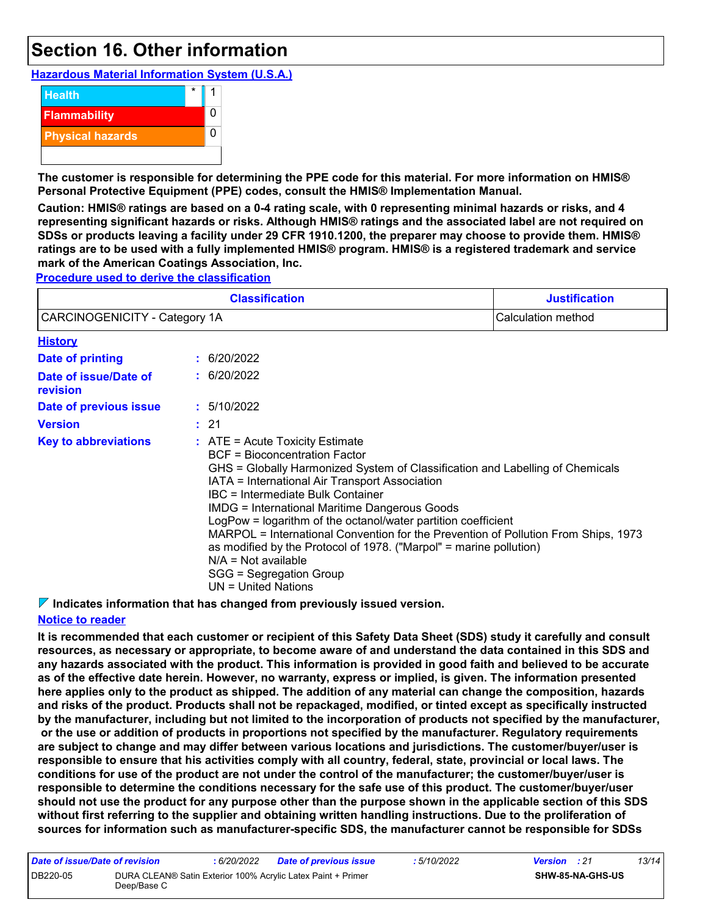### **Section 16. Other information**

**Hazardous Material Information System (U.S.A.)**



**The customer is responsible for determining the PPE code for this material. For more information on HMIS® Personal Protective Equipment (PPE) codes, consult the HMIS® Implementation Manual.**

**Caution: HMIS® ratings are based on a 0-4 rating scale, with 0 representing minimal hazards or risks, and 4 representing significant hazards or risks. Although HMIS® ratings and the associated label are not required on SDSs or products leaving a facility under 29 CFR 1910.1200, the preparer may choose to provide them. HMIS® ratings are to be used with a fully implemented HMIS® program. HMIS® is a registered trademark and service mark of the American Coatings Association, Inc.**

**Procedure used to derive the classification**

|                                   | <b>Justification</b><br>Calculation method |                                                                                                                                                                                                                                                                                                                                                                                                                                                                                                                                                                                                            |  |  |  |  |
|-----------------------------------|--------------------------------------------|------------------------------------------------------------------------------------------------------------------------------------------------------------------------------------------------------------------------------------------------------------------------------------------------------------------------------------------------------------------------------------------------------------------------------------------------------------------------------------------------------------------------------------------------------------------------------------------------------------|--|--|--|--|
| CARCINOGENICITY - Category 1A     |                                            |                                                                                                                                                                                                                                                                                                                                                                                                                                                                                                                                                                                                            |  |  |  |  |
| <b>History</b>                    |                                            |                                                                                                                                                                                                                                                                                                                                                                                                                                                                                                                                                                                                            |  |  |  |  |
| <b>Date of printing</b>           |                                            | : 6/20/2022                                                                                                                                                                                                                                                                                                                                                                                                                                                                                                                                                                                                |  |  |  |  |
| Date of issue/Date of<br>revision |                                            | : 6/20/2022                                                                                                                                                                                                                                                                                                                                                                                                                                                                                                                                                                                                |  |  |  |  |
| Date of previous issue            |                                            | : 5/10/2022                                                                                                                                                                                                                                                                                                                                                                                                                                                                                                                                                                                                |  |  |  |  |
| <b>Version</b>                    |                                            | : 21                                                                                                                                                                                                                                                                                                                                                                                                                                                                                                                                                                                                       |  |  |  |  |
| <b>Key to abbreviations</b>       |                                            | $:$ ATE = Acute Toxicity Estimate<br>BCF = Bioconcentration Factor<br>GHS = Globally Harmonized System of Classification and Labelling of Chemicals<br>IATA = International Air Transport Association<br>IBC = Intermediate Bulk Container<br><b>IMDG = International Maritime Dangerous Goods</b><br>LogPow = logarithm of the octanol/water partition coefficient<br>MARPOL = International Convention for the Prevention of Pollution From Ships, 1973<br>as modified by the Protocol of 1978. ("Marpol" = marine pollution)<br>$N/A = Not available$<br>SGG = Segregation Group<br>UN = United Nations |  |  |  |  |

**Indicates information that has changed from previously issued version.**

#### **Notice to reader**

**It is recommended that each customer or recipient of this Safety Data Sheet (SDS) study it carefully and consult resources, as necessary or appropriate, to become aware of and understand the data contained in this SDS and any hazards associated with the product. This information is provided in good faith and believed to be accurate as of the effective date herein. However, no warranty, express or implied, is given. The information presented here applies only to the product as shipped. The addition of any material can change the composition, hazards and risks of the product. Products shall not be repackaged, modified, or tinted except as specifically instructed by the manufacturer, including but not limited to the incorporation of products not specified by the manufacturer, or the use or addition of products in proportions not specified by the manufacturer. Regulatory requirements are subject to change and may differ between various locations and jurisdictions. The customer/buyer/user is responsible to ensure that his activities comply with all country, federal, state, provincial or local laws. The conditions for use of the product are not under the control of the manufacturer; the customer/buyer/user is responsible to determine the conditions necessary for the safe use of this product. The customer/buyer/user should not use the product for any purpose other than the purpose shown in the applicable section of this SDS without first referring to the supplier and obtaining written handling instructions. Due to the proliferation of sources for information such as manufacturer-specific SDS, the manufacturer cannot be responsible for SDSs** 

| Date of issue/Date of revision |                                                                             | : 6/20/2022 | <b>Date of previous issue</b> | : 5/10/2022 | <b>Version</b> : 21 |                         | 13/14 |
|--------------------------------|-----------------------------------------------------------------------------|-------------|-------------------------------|-------------|---------------------|-------------------------|-------|
| DB220-05                       | DURA CLEAN® Satin Exterior 100% Acrylic Latex Paint + Primer<br>Deep/Base C |             |                               |             |                     | <b>SHW-85-NA-GHS-US</b> |       |